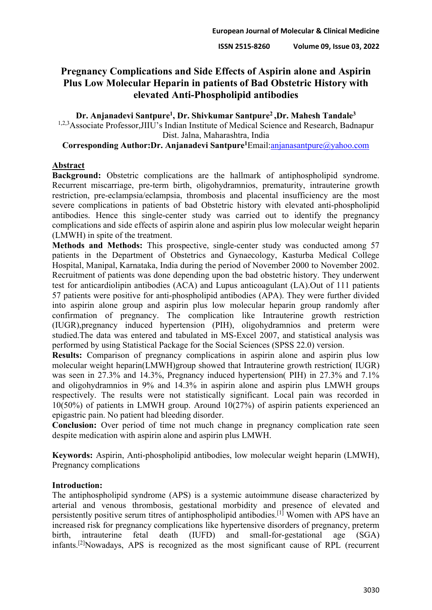# **Pregnancy Complications and Side Effects of Aspirin alone and Aspirin Plus Low Molecular Heparin in patients of Bad Obstetric History with elevated Anti-Phospholipid antibodies**

**Dr. Anjanadevi Santpure1, Dr. Shivkumar Santpure2 ,Dr. Mahesh Tandale3** <sup>1,2,3</sup>Associate Professor, JIIU's Indian Institute of Medical Science and Research, Badnapur Dist. Jalna, Maharashtra, India

**Corresponding Author:Dr. Anjanadevi Santpure1**Email[:anjanasantpure@yahoo.com](mailto:anjanasantpure@yahoo.com)

## **Abstract**

**Background:** Obstetric complications are the hallmark of antiphospholipid syndrome. Recurrent miscarriage, pre-term birth, oligohydramnios, prematurity, intrauterine growth restriction, pre-eclampsia/eclampsia, thrombosis and placental insufficiency are the most severe complications in patients of bad Obstetric history with elevated anti-phospholipid antibodies. Hence this single-center study was carried out to identify the pregnancy complications and side effects of aspirin alone and aspirin plus low molecular weight heparin (LMWH) in spite of the treatment.

**Methods and Methods:** This prospective, single-center study was conducted among 57 patients in the Department of Obstetrics and Gynaecology, Kasturba Medical College Hospital, Manipal, Karnataka, India during the period of November 2000 to November 2002. Recruitment of patients was done depending upon the bad obstetric history. They underwent test for anticardiolipin antibodies (ACA) and Lupus anticoagulant (LA).Out of 111 patients 57 patients were positive for anti-phospholipid antibodies (APA). They were further divided into aspirin alone group and aspirin plus low molecular heparin group randomly after confirmation of pregnancy. The complication like Intrauterine growth restriction (IUGR),pregnancy induced hypertension (PIH), oligohydramnios and preterm were studied.The data was entered and tabulated in MS-Excel 2007, and statistical analysis was performed by using Statistical Package for the Social Sciences (SPSS 22.0) version.

**Results:** Comparison of pregnancy complications in aspirin alone and aspirin plus low molecular weight heparin(LMWH)group showed that Intrauterine growth restriction( IUGR) was seen in 27.3% and 14.3%, Pregnancy induced hypertension( PIH) in 27.3% and 7.1% and oligohydramnios in 9% and 14.3% in aspirin alone and aspirin plus LMWH groups respectively. The results were not statistically significant. Local pain was recorded in 10(50%) of patients in LMWH group. Around 10(27%) of aspirin patients experienced an epigastric pain. No patient had bleeding disorder.

**Conclusion:** Over period of time not much change in pregnancy complication rate seen despite medication with aspirin alone and aspirin plus LMWH.

**Keywords:** Aspirin, Anti-phospholipid antibodies, low molecular weight heparin (LMWH), Pregnancy complications

## **Introduction:**

The antiphospholipid syndrome (APS) is a systemic autoimmune disease characterized by arterial and venous thrombosis, gestational morbidity and presence of elevated and persistently positive serum titres of antiphospholipid antibodies.[1] Women with APS have an increased risk for pregnancy complications like hypertensive disorders of pregnancy, preterm birth, intrauterine fetal death (IUFD) and small-for-gestational age (SGA) infants.<sup>[2]</sup>Nowadays, APS is recognized as the most significant cause of RPL (recurrent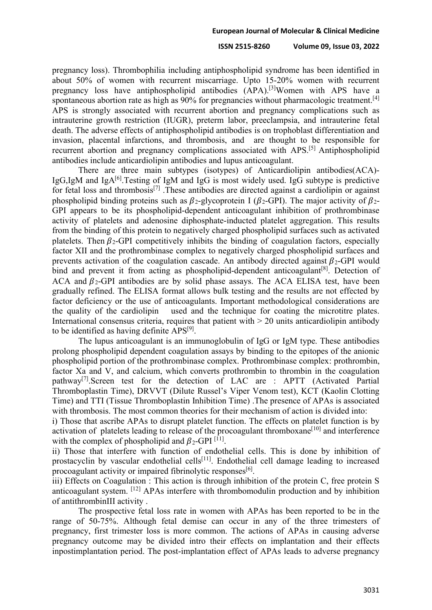#### **ISSN 2515-8260 Volume 09, Issue 03, 2022**

pregnancy loss). Thrombophilia including antiphospholipid syndrome has been identified in about 50% of women with recurrent miscarriage. Upto 15-20% women with recurrent pregnancy loss have antiphospholipid antibodies (APA).<sup>[3]</sup>Women with APS have a spontaneous abortion rate as high as 90% for pregnancies without pharmacologic treatment.<sup>[4]</sup> APS is strongly associated with recurrent abortion and pregnancy complications such as intrauterine growth restriction (IUGR), preterm labor, preeclampsia, and intrauterine fetal death. The adverse effects of antiphospholipid antibodies is on trophoblast differentiation and invasion, placental infarctions, and thrombosis, and are thought to be responsible for recurrent abortion and pregnancy complications associated with APS.<sup>[5]</sup> Antiphospholipid antibodies include anticardiolipin antibodies and lupus anticoagulant.

There are three main subtypes (isotypes) of Anticardiolipin antibodies(ACA)- IgG,IgM and IgA $^{[6]}$ . Testing of IgM and IgG is most widely used. IgG subtype is predictive for fetal loss and thrombosis<sup>[7]</sup>. These antibodies are directed against a cardiolipin or against phospholipid binding proteins such as  $\beta_2$ -glycoprotein I ( $\beta_2$ -GPI). The major activity of  $\beta_2$ -GPI appears to be its phospholipid-dependent anticoagulant inhibition of prothrombinase activity of platelets and adenosine diphosphate-inducted platelet aggregation. This results from the binding of this protein to negatively charged phospholipid surfaces such as activated platelets. Then  $\beta_2$ -GPI competitively inhibits the binding of coagulation factors, especially factor XII and the prothrombinase complex to negatively charged phospholipid surfaces and prevents activation of the coagulation cascade. An antibody directed against  $\beta_2$ -GPI would bind and prevent it from acting as phospholipid-dependent anticoagulant<sup>[8]</sup>. Detection of ACA and  $\beta_2$ -GPI antibodies are by solid phase assays. The ACA ELISA test, have been gradually refined. The ELISA format allows bulk testing and the results are not effected by factor deficiency or the use of anticoagulants. Important methodological considerations are the quality of the cardiolipin used and the technique for coating the microtitre plates. International consensus criteria, requires that patient with  $> 20$  units anticardiolipin antibody to be identified as having definite  $APS^{[9]}$ .

The lupus anticoagulant is an immunoglobulin of IgG or IgM type. These antibodies prolong phospholipid dependent coagulation assays by binding to the epitopes of the anionic phospholipid portion of the prothrombinase complex. Prothrombinase complex: prothrombin, factor Xa and V, and calcium, which converts prothrombin to thrombin in the coagulation pathway[7].Screen test for the detection of LAC are : APTT (Activated Partial Thromboplastin Time), DRVVT (Dilute Russel's Viper Venom test), KCT (Kaolin Clotting Time) and TTI (Tissue Thromboplastin Inhibition Time) .The presence of APAs is associated with thrombosis. The most common theories for their mechanism of action is divided into:

i) Those that ascribe APAs to disrupt platelet function. The effects on platelet function is by activation of platelets leading to release of the procoagulant thromboxane<sup>[10]</sup> and interference with the complex of phospholipid and  $\beta_2$ -GPI [11].

ii) Those that interfere with function of endothelial cells. This is done by inhibition of prostacyclin by vascular endothelial cells<sup>[11]</sup>. Endothelial cell damage leading to increased procoagulant activity or impaired fibrinolytic responses $[6]$ .

iii) Effects on Coagulation : This action is through inhibition of the protein C, free protein S anticoagulant system. [12] APAs interfere with thrombomodulin production and by inhibition of antithrombinIII activity .

The prospective fetal loss rate in women with APAs has been reported to be in the range of 50-75%. Although fetal demise can occur in any of the three trimesters of pregnancy, first trimester loss is more common. The actions of APAs in causing adverse pregnancy outcome may be divided intro their effects on implantation and their effects inpostimplantation period. The post-implantation effect of APAs leads to adverse pregnancy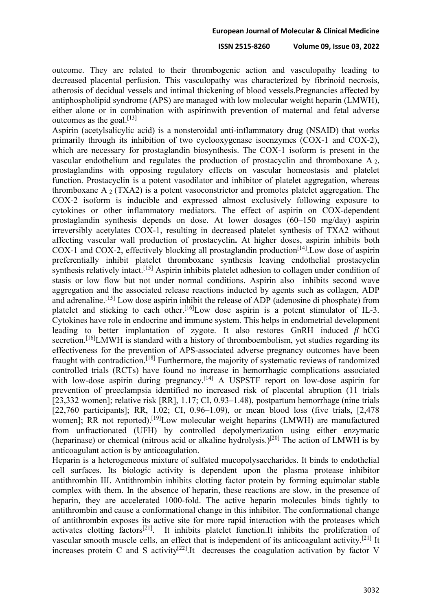outcome. They are related to their thrombogenic action and vasculopathy leading to decreased placental perfusion. This vasculopathy was characterized by fibrinoid necrosis, atherosis of decidual vessels and intimal thickening of blood vessels.Pregnancies affected by antiphospholipid syndrome (APS) are managed with low molecular weight heparin (LMWH), either alone or in combination with aspirinwith prevention of maternal and fetal adverse outcomes as the goal. $[13]$ 

Aspirin (acetylsalicylic acid) is a nonsteroidal anti-inflammatory drug (NSAID) that works primarily through its inhibition of two cyclooxygenase isoenzymes (COX-1 and COX-2), which are necessary for prostaglandin biosynthesis. The COX-1 isoform is present in the vascular endothelium and regulates the production of prostacyclin and thromboxane A 2, prostaglandins with opposing regulatory effects on vascular homeostasis and platelet function. Prostacyclin is a potent vasodilator and inhibitor of platelet aggregation, whereas thromboxane A  $_2$  (TXA2) is a potent vasoconstrictor and promotes platelet aggregation. The COX-2 isoform is inducible and expressed almost exclusively following exposure to cytokines or other inflammatory mediators. The effect of aspirin on COX-dependent prostaglandin synthesis depends on dose. At lower dosages (60–150 mg/day) aspirin irreversibly acetylates COX-1, resulting in decreased platelet synthesis of TXA2 without affecting vascular wall production of prostacyclin**.** At higher doses, aspirin inhibits both COX-1 and COX-2, effectively blocking all prostaglandin production<sup>[14]</sup>. Low dose of aspirin preferentially inhibit platelet thromboxane synthesis leaving endothelial prostacyclin synthesis relatively intact.<sup>[15]</sup> Aspirin inhibits platelet adhesion to collagen under condition of stasis or low flow but not under normal conditions. Aspirin also inhibits second wave aggregation and the associated release reactions inducted by agents such as collagen, ADP and adrenaline.[15] Low dose aspirin inhibit the release of ADP (adenosine di phosphate) from platelet and sticking to each other.<sup>[16]</sup>Low dose aspirin is a potent stimulator of IL-3. Cytokines have role in endocrine and immune system. This helps in endometrial development leading to better implantation of zygote. It also restores GnRH induced  $\beta$  hCG secretion.<sup>[16]</sup>LMWH is standard with a history of thromboembolism, yet studies regarding its effectiveness for the prevention of APS-associated adverse pregnancy outcomes have been fraught with contradiction.[18] Furthermore, the majority of systematic reviews of randomized controlled trials (RCTs) have found no increase in hemorrhagic complications associated with low-dose aspirin during pregnancy.<sup>[14]</sup> A USPSTF report on low-dose aspirin for prevention of preeclampsia identified no increased risk of placental abruption (11 trials [23,332 women]; relative risk [RR], 1.17; CI, 0.93–1.48), postpartum hemorrhage (nine trials [22,760 participants]; RR, 1.02; CI, 0.96–1.09), or mean blood loss (five trials, [2,478 women]; RR not reported).<sup>[19]</sup>Low molecular weight heparins (LMWH) are manufactured from unfractionated (UFH) by controlled depolymerization using either enzymatic (heparinase) or chemical (nitrous acid or alkaline hydrolysis.)<sup>[20]</sup> The action of LMWH is by anticoagulant action is by anticoagulation.

Heparin is a heterogeneous mixture of sulfated mucopolysaccharides. It binds to endothelial cell surfaces. Its biologic activity is dependent upon the plasma protease inhibitor antithrombin III. Antithrombin inhibits clotting factor protein by forming equimolar stable complex with them. In the absence of heparin, these reactions are slow, in the presence of heparin, they are accelerated 1000-fold. The active heparin molecules binds tightly to antithrombin and cause a conformational change in this inhibitor. The conformational change of antithrombin exposes its active site for more rapid interaction with the proteases which activates clotting factors<sup>[21]</sup>. It inhibits platelet function.It inhibits the proliferation of vascular smooth muscle cells, an effect that is independent of its anticoagulant activity.[21] It increases protein C and S activity<sup>[22]</sup>.It decreases the coagulation activation by factor V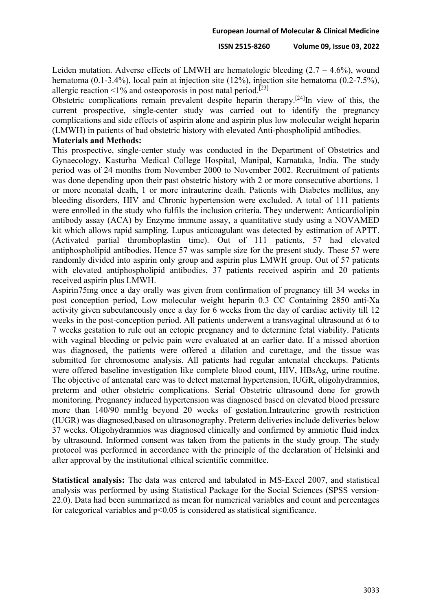Leiden mutation. Adverse effects of LMWH are hematologic bleeding  $(2.7 - 4.6\%)$ , wound hematoma (0.1-3.4%), local pain at injection site (12%), injection site hematoma (0.2-7.5%), allergic reaction  $\leq 1\%$  and osteoporosis in post natal period.<sup>[23]</sup>

Obstetric complications remain prevalent despite heparin therapy.<sup>[24]</sup>In view of this, the current prospective, single-center study was carried out to identify the pregnancy complications and side effects of aspirin alone and aspirin plus low molecular weight heparin (LMWH) in patients of bad obstetric history with elevated Anti-phospholipid antibodies.

### **Materials and Methods:**

This prospective, single-center study was conducted in the Department of Obstetrics and Gynaecology, Kasturba Medical College Hospital, Manipal, Karnataka, India. The study period was of 24 months from November 2000 to November 2002. Recruitment of patients was done depending upon their past obstetric history with 2 or more consecutive abortions, 1 or more neonatal death, 1 or more intrauterine death. Patients with Diabetes mellitus, any bleeding disorders, HIV and Chronic hypertension were excluded. A total of 111 patients were enrolled in the study who fulfils the inclusion criteria. They underwent: Anticardiolipin antibody assay (ACA) by Enzyme immune assay, a quantitative study using a NOVAMED kit which allows rapid sampling. Lupus anticoagulant was detected by estimation of APTT. (Activated partial thromboplastin time). Out of 111 patients, 57 had elevated antiphospholipid antibodies. Hence 57 was sample size for the present study. These 57 were randomly divided into aspirin only group and aspirin plus LMWH group. Out of 57 patients with elevated antiphospholipid antibodies, 37 patients received aspirin and 20 patients received aspirin plus LMWH.

Aspirin75mg once a day orally was given from confirmation of pregnancy till 34 weeks in post conception period, Low molecular weight heparin 0.3 CC Containing 2850 anti-Xa activity given subcutaneously once a day for 6 weeks from the day of cardiac activity till 12 weeks in the post-conception period. All patients underwent a transvaginal ultrasound at 6 to 7 weeks gestation to rule out an ectopic pregnancy and to determine fetal viability. Patients with vaginal bleeding or pelvic pain were evaluated at an earlier date. If a missed abortion was diagnosed, the patients were offered a dilation and curettage, and the tissue was submitted for chromosome analysis. All patients had regular antenatal checkups. Patients were offered baseline investigation like complete blood count, HIV, HBsAg, urine routine. The objective of antenatal care was to detect maternal hypertension, IUGR, oligohydramnios, preterm and other obstetric complications. Serial Obstetric ultrasound done for growth monitoring. Pregnancy induced hypertension was diagnosed based on elevated blood pressure more than 140/90 mmHg beyond 20 weeks of gestation.Intrauterine growth restriction (IUGR) was diagnosed,based on ultrasonography. Preterm deliveries include deliveries below 37 weeks. Oligohydramnios was diagnosed clinically and confirmed by amniotic fluid index by ultrasound. Informed consent was taken from the patients in the study group. The study protocol was performed in accordance with the principle of the declaration of Helsinki and after approval by the institutional ethical scientific committee.

**Statistical analysis:** The data was entered and tabulated in MS-Excel 2007, and statistical analysis was performed by using Statistical Package for the Social Sciences (SPSS version-22.0). Data had been summarized as mean for numerical variables and count and percentages for categorical variables and  $p<0.05$  is considered as statistical significance.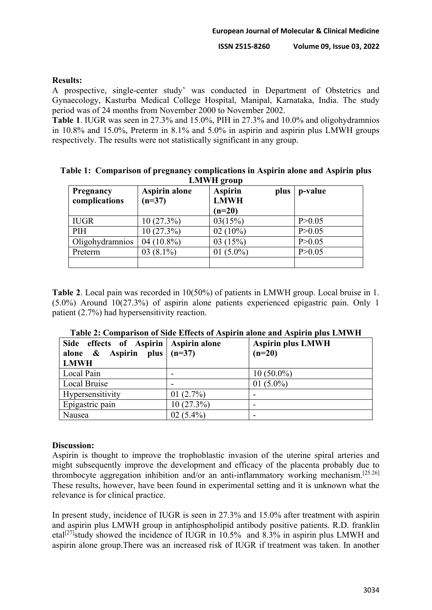### **Results:**

A prospective, single-center study' was conducted in Department of Obstetrics and Gynaecology, Kasturba Medical College Hospital, Manipal, Karnataka, India. The study period was of 24 months from November 2000 to November 2002.

**Table 1**. IUGR was seen in 27.3% and 15.0%, PIH in 27.3% and 10.0% and oligohydramnios in 10.8% and 15.0%, Preterm in 8.1% and 5.0% in aspirin and aspirin plus LMWH groups respectively. The results were not statistically significant in any group.

**Table 1: Comparison of pregnancy complications in Aspirin alone and Aspirin plus LAWIT** 

| Pregnancy<br>complications | <b>Aspirin alone</b><br>$(n=37)$ | <b>Aspirin</b><br><b>LMWH</b><br>$(n=20)$ | plus | p-value  |
|----------------------------|----------------------------------|-------------------------------------------|------|----------|
| <b>IUGR</b>                | 10(27.3%)                        | 03(15%)                                   |      | P > 0.05 |
| PIH                        | 10(27.3%)                        | $02(10\%)$                                |      | P > 0.05 |
| Oligohydramnios            | 04 $(10.8\%)$                    | 03(15%)                                   |      | P > 0.05 |
| Preterm                    | $03(8.1\%)$                      | 01 $(5.0\%)$                              |      | P > 0.05 |
|                            |                                  |                                           |      |          |

**Table 2**. Local pain was recorded in 10(50%) of patients in LMWH group. Local bruise in 1. (5.0%) Around 10(27.3%) of aspirin alone patients experienced epigastric pain. Only 1 patient (2.7%) had hypersensitivity reaction.

| Table 2. Comparison of studentides of Aspirin alone and Aspirin plus Entry in           |              |                                      |  |  |  |
|-----------------------------------------------------------------------------------------|--------------|--------------------------------------|--|--|--|
| Side effects of Aspirin   Aspirin alone<br>alone & Aspirin plus $(n=37)$<br><b>LMWH</b> |              | <b>Aspirin plus LMWH</b><br>$(n=20)$ |  |  |  |
| Local Pain                                                                              |              | $10(50.0\%)$                         |  |  |  |
| Local Bruise                                                                            |              | 01 $(5.0\%)$                         |  |  |  |
| Hypersensitivity                                                                        | 01 $(2.7\%)$ |                                      |  |  |  |
| Epigastric pain                                                                         | $10(27.3\%)$ |                                      |  |  |  |
| Nausea                                                                                  | $02(5.4\%)$  |                                      |  |  |  |

#### **Discussion:**

Aspirin is thought to improve the trophoblastic invasion of the uterine spiral arteries and might subsequently improve the development and efficacy of the placenta probably due to thrombocyte aggregation inhibition and/or an anti-inflammatory working mechanism.<sup>[25.26]</sup> These results, however, have been found in experimental setting and it is unknown what the relevance is for clinical practice.

In present study, incidence of IUGR is seen in 27.3% and 15.0% after treatment with aspirin and aspirin plus LMWH group in antiphospholipid antibody positive patients. R.D. franklin etal<sup>[27]</sup>study showed the incidence of IUGR in  $10.5\%$  and  $8.3\%$  in aspirin plus LMWH and aspirin alone group.There was an increased risk of IUGR if treatment was taken. In another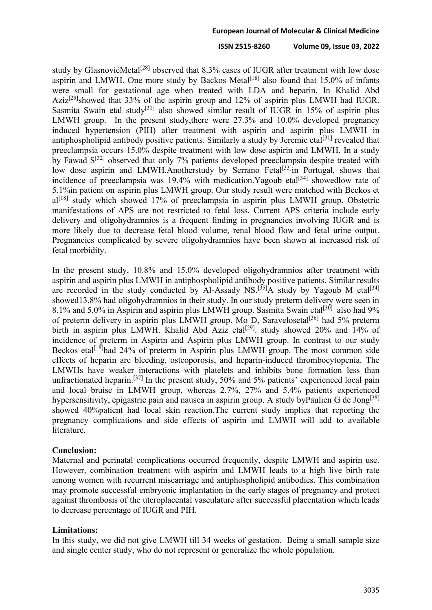#### **ISSN 2515-8260 Volume 09, Issue 03, 2022**

study by GlasnovićMetal<sup>[28]</sup> observed that 8.3% cases of IUGR after treatment with low dose aspirin and LMWH. One more study by Backos Metal $[18]$  also found that 15.0% of infants were small for gestational age when treated with LDA and heparin. In Khalid Abd Aziz<sup>[29]</sup>showed that 33% of the aspirin group and 12% of aspirin plus LMWH had IUGR. Sasmita Swain etal study<sup>[31]</sup> also showed similar result of IUGR in 15% of aspirin plus LMWH group. In the present study,there were 27.3% and 10.0% developed pregnancy induced hypertension (PIH) after treatment with aspirin and aspirin plus LMWH in antiphospholipid antibody positive patients. Similarly a study by Jeremic etal<sup>[31]</sup> revealed that preeclampsia occurs 15.0% despite treatment with low dose aspirin and LMWH. In a study by Fawad  $S^{[32]}$  observed that only 7% patients developed preeclampsia despite treated with low dose aspirin and LMWH.Anotherstudy by Serrano Fetal<sup>[33]</sup>in Portugal, shows that incidence of preeclampsia was 19.4% with medication. Yagoub etal<sup>[34]</sup> showedlow rate of 5.1%in patient on aspirin plus LMWH group. Our study result were matched with Beckos et  $al^{[18]}$  study which showed 17% of preeclampsia in aspirin plus LMWH group. Obstetric manifestations of APS are not restricted to fetal loss. Current APS criteria include early delivery and oligohydramnios is a frequent finding in pregnancies involving IUGR and is more likely due to decrease fetal blood volume, renal blood flow and fetal urine output. Pregnancies complicated by severe oligohydramnios have been shown at increased risk of fetal morbidity.

In the present study, 10.8% and 15.0% developed oligohydramnios after treatment with aspirin and aspirin plus LMWH in antiphospholipid antibody positive patients. Similar results are recorded in the study conducted by Al-Assady NS.<sup>[35]</sup>A study by Yagoub M etal<sup>[34]</sup> showed13.8% had oligohydramnios in their study. In our study preterm delivery were seen in 8.1% and 5.0% in Aspirin and aspirin plus LMWH group. Sasmita Swain etal<sup>[30]</sup> also had 9% of preterm delivery in aspirin plus LMWH group. Mo D, Saravelosetal<sup>[36]</sup> had 5% preterm birth in aspirin plus LMWH. Khalid Abd Aziz etal<sup>[29]</sup>. study showed 20% and 14% of incidence of preterm in Aspirin and Aspirin plus LMWH group. In contrast to our study Beckos etal<sup>[18]</sup>had 24% of preterm in Aspirin plus LMWH group. The most common side effects of heparin are bleeding, osteoporosis, and heparin-induced thrombocytopenia. The LMWHs have weaker interactions with platelets and inhibits bone formation less than unfractionated heparin.<sup>[37]</sup> In the present study, 50% and 5% patients' experienced local pain and local bruise in LMWH group, whereas 2.7%, 27% and 5.4% patients experienced hypersensitivity, epigastric pain and nausea in aspirin group. A study byPaulien G de Jong<sup>[38]</sup> showed 40%patient had local skin reaction.The current study implies that reporting the pregnancy complications and side effects of aspirin and LMWH will add to available literature.

#### **Conclusion:**

Maternal and perinatal complications occurred frequently, despite LMWH and aspirin use. However, combination treatment with aspirin and LMWH leads to a high live birth rate among women with recurrent miscarriage and antiphospholipid antibodies. This combination may promote successful embryonic implantation in the early stages of pregnancy and protect against thrombosis of the uteroplacental vasculature after successful placentation which leads to decrease percentage of IUGR and PIH.

#### **Limitations:**

In this study, we did not give LMWH till 34 weeks of gestation. Being a small sample size and single center study, who do not represent or generalize the whole population.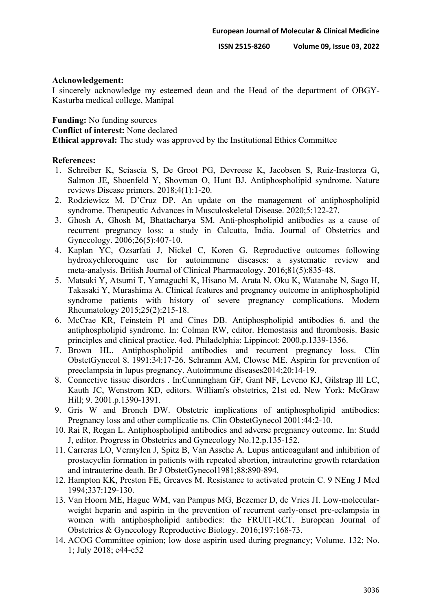#### **Acknowledgement:**

I sincerely acknowledge my esteemed dean and the Head of the department of OBGY-Kasturba medical college, Manipal

**Funding:** No funding sources

**Conflict of interest:** None declared

**Ethical approval:** The study was approved by the Institutional Ethics Committee

#### **References:**

- 1. Schreiber K, Sciascia S, De Groot PG, Devreese K, Jacobsen S, Ruiz-Irastorza G, Salmon JE, Shoenfeld Y, Shovman O, Hunt BJ. Antiphospholipid syndrome. Nature reviews Disease primers. 2018;4(1):1-20.
- 2. Rodziewicz M, D'Cruz DP. An update on the management of antiphospholipid syndrome. Therapeutic Advances in Musculoskeletal Disease. 2020;5:122-27.
- 3. Ghosh A, Ghosh M, Bhattacharya SM. Anti-phospholipid antibodies as a cause of recurrent pregnancy loss: a study in Calcutta, India. Journal of Obstetrics and Gynecology. 2006;26(5):407-10.
- 4. Kaplan YC, Ozsarfati J, Nickel C, Koren G. Reproductive outcomes following hydroxychloroquine use for autoimmune diseases: a systematic review and meta‐analysis. British Journal of Clinical Pharmacology. 2016;81(5):835-48.
- 5. Matsuki Y, Atsumi T, Yamaguchi K, Hisano M, Arata N, Oku K, Watanabe N, Sago H, Takasaki Y, Murashima A. Clinical features and pregnancy outcome in antiphospholipid syndrome patients with history of severe pregnancy complications. Modern Rheumatology 2015;25(2):215-18.
- 6. McCrae KR, Feinstein Pl and Cines DB. Antiphospholipid antibodies 6. and the antiphospholipid syndrome. In: Colman RW, editor. Hemostasis and thrombosis. Basic principles and clinical practice. 4ed. Philadelphia: Lippincot: 2000.p.1339-1356.
- 7. Brown HL. Antiphospholipid antibodies and recurrent pregnancy loss. Clin ObstetGynecol 8. 1991:34:17-26. Schramm AM, Clowse ME. Aspirin for prevention of preeclampsia in lupus pregnancy. Autoimmune diseases2014;20:14-19.
- 8. Connective tissue disorders . In:Cunningham GF, Gant NF, Leveno KJ, Gilstrap Ill LC, Kauth JC, Wenstrom KD, editors. William's obstetrics, 21st ed. New York: McGraw Hill; 9. 2001.p.1390-1391.
- 9. Gris W and Bronch DW. Obstetric implications of antiphospholipid antibodies: Pregnancy loss and other complicatie ns. Clin ObstetGynecol 2001:44:2-10.
- 10. Rai R, Regan L. Antiphospholipid antibodies and adverse pregnancy outcome. In: Studd J, editor. Progress in Obstetrics and Gynecology No.12.p.135-152.
- 11. Carreras LO, Vermylen J, Spitz B, Van Assche A. Lupus anticoagulant and inhibition of prostacyclin formation in patients with repeated abortion, intrauterine growth retardation and intrauterine death. Br J ObstetGynecol1981;88:890-894.
- 12. Hampton KK, Preston FE, Greaves M. Resistance to activated protein C. 9 NEng J Med 1994;337:129-130.
- 13. Van Hoorn ME, Hague WM, van Pampus MG, Bezemer D, de Vries JI. Low-molecularweight heparin and aspirin in the prevention of recurrent early-onset pre-eclampsia in women with antiphospholipid antibodies: the FRUIT-RCT. European Journal of Obstetrics & Gynecology Reproductive Biology. 2016;197:168-73.
- 14. ACOG Committee opinion; low dose aspirin used during pregnancy; Volume. 132; No. 1; July 2018; e44-e52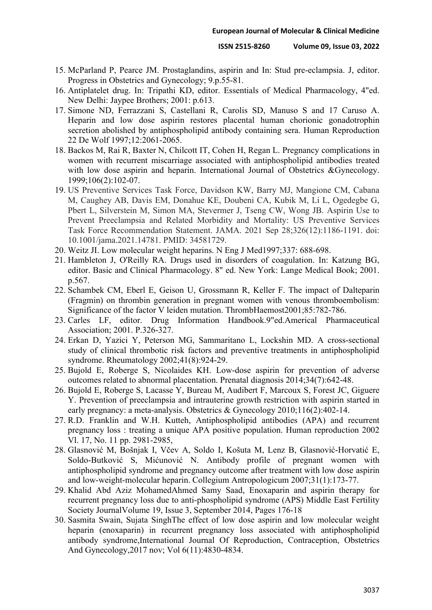- 15. McParland P, Pearce JM. Prostaglandins, aspirin and In: Stud pre-eclampsia. J, editor. Progress in Obstetrics and Gynecology; 9.p.55-81.
- 16. Antiplatelet drug. In: Tripathi KD, editor. Essentials of Medical Pharmacology, 4"ed. New Delhi: Jaypee Brothers; 2001: p.613.
- 17. Simone ND, Ferrazzani S, Castellani R, Carolis SD, Manuso S and 17 Caruso A. Heparin and low dose aspirin restores placental human chorionic gonadotrophin secretion abolished by antiphospholipid antibody containing sera. Human Reproduction 22 De Wolf 1997;12:2061-2065.
- 18. Backos M, Rai R, Baxter N, Chilcott IT, Cohen H, Regan L. Pregnancy complications in women with recurrent miscarriage associated with antiphospholipid antibodies treated with low dose aspirin and heparin. International Journal of Obstetrics &Gynecology. 1999;106(2):102-07.
- 19. US Preventive Services Task Force, Davidson KW, Barry MJ, Mangione CM, Cabana M, Caughey AB, Davis EM, Donahue KE, Doubeni CA, Kubik M, Li L, Ogedegbe G, Pbert L, Silverstein M, Simon MA, Stevermer J, Tseng CW, Wong JB. Aspirin Use to Prevent Preeclampsia and Related Morbidity and Mortality: US Preventive Services Task Force Recommendation Statement. JAMA. 2021 Sep 28;326(12):1186-1191. doi: 10.1001/jama.2021.14781. PMID: 34581729.
- 20. Weitz JI. Low molecular weight heparins. N Eng J Med1997;337: 688-698.
- 21. Hambleton J, O'Reilly RA. Drugs used in disorders of coagulation. In: Katzung BG, editor. Basic and Clinical Pharmacology. 8" ed. New York: Lange Medical Book; 2001. p.567.
- 22. Schambek CM, Eberl E, Geison U, Grossmann R, Keller F. The impact of Dalteparin (Fragmin) on thrombin generation in pregnant women with venous thromboembolism: Significance of the factor V leiden mutation. ThrombHaemost2001;85:782-786.
- 23. Carles LF, editor. Drug Information Handbook.9"ed.Americal Pharmaceutical Association; 2001. P.326-327.
- 24. Erkan D, Yazici Y, Peterson MG, Sammaritano L, Lockshin MD. A cross-sectional study of clinical thrombotic risk factors and preventive treatments in antiphospholipid syndrome. Rheumatology 2002;41(8):924-29.
- 25. Bujold E, Roberge S, Nicolaides KH. Low‐dose aspirin for prevention of adverse outcomes related to abnormal placentation. Prenatal diagnosis 2014;34(7):642-48.
- 26. Bujold E, Roberge S, Lacasse Y, Bureau M, Audibert F, Marcoux S, Forest JC, Giguere Y. Prevention of preeclampsia and intrauterine growth restriction with aspirin started in early pregnancy: a meta-analysis. Obstetrics & Gynecology 2010;116(2):402-14.
- 27. R.D. Franklin and W.H. Kutteh, Antiphospholipid antibodies (APA) and recurrent pregnancy loss : treating a unique APA positive population. Human reproduction 2002 Vl. 17, No. 11 pp. 2981-2985,
- 28. Glasnović M, Bošnjak I, Včev A, Soldo I, Košuta M, Lenz B, Glasnović-Horvatić E, Soldo-Butković S, Mićunović N. Antibody profile of pregnant women with antiphospholipid syndrome and pregnancy outcome after treatment with low dose aspirin and low-weight-molecular heparin. Collegium Antropologicum 2007;31(1):173-77.
- 29. [Khalid Abd Aziz MohamedAhmed Samy Saad,](https://www.sciencedirect.com/science/article/pii/S1110569013001453#!) Enoxaparin and aspirin therapy for recurrent pregnancy loss due to anti-phospholipid syndrome (APS) [Middle East Fertility](https://www.sciencedirect.com/journal/middle-east-fertility-society-journal)  [Society Journal](https://www.sciencedirect.com/journal/middle-east-fertility-society-journal)[Volume 19, Issue 3,](https://www.sciencedirect.com/journal/middle-east-fertility-society-journal/vol/19/issue/3) September 2014, Pages 176-18
- 30. Sasmita Swain, Sujata SinghThe effect of low dose aspirin and low molecular weight heparin (enoxaparin) in recurrent pregnancy loss associated with antiphospholipid antibody syndrome,International Journal Of Reproduction, Contraception, Obstetrics And Gynecology,2017 nov; Vol 6(11):4830-4834.